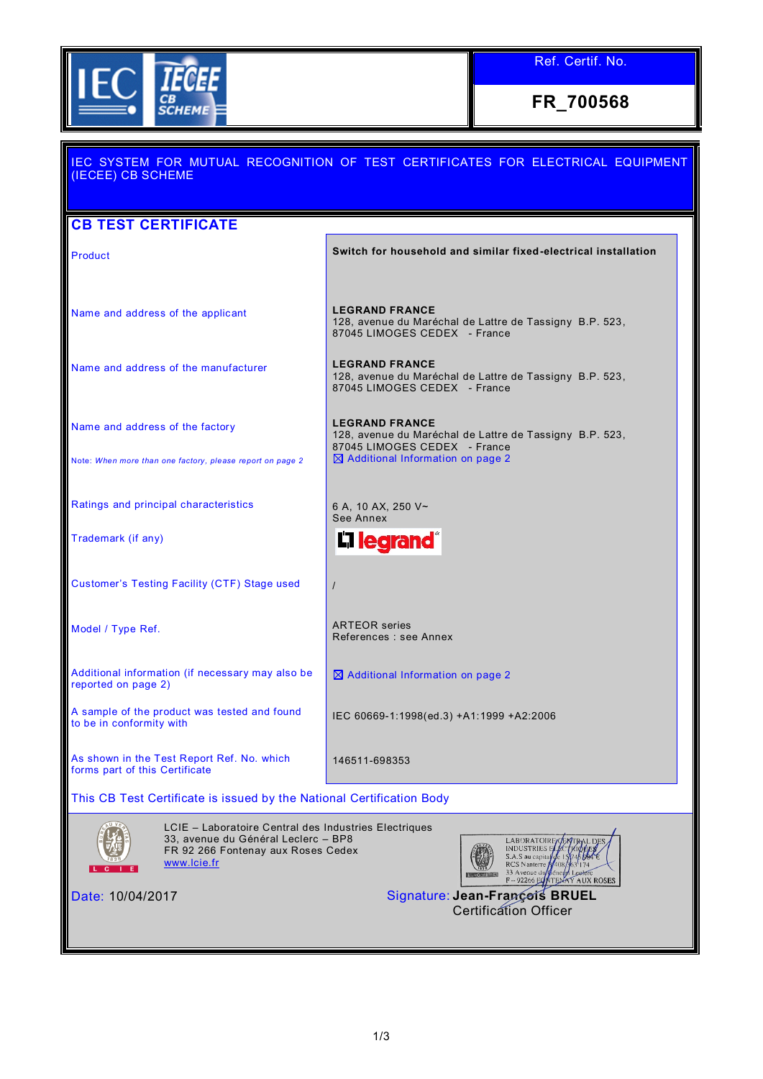

**FR\_700568**

# IEC SYSTEM FOR MUTUAL RECOGNITION OF TEST CERTIFICATES FOR ELECTRICAL EQUIPMENT (IECEE) CB SCHEME **CB TEST CERTIFICATE Product Switch for household and similar fixed-electrical installation** Name and address of the applicant **LEGRAND FRANCE** 128, avenue du Maréchal de Lattre de Tassigny B.P. 523, 87045 LIMOGES CEDEX - France Name and address of the manufacturer **LEGRAND FRANCE** 128, avenue du Maréchal de Lattre de Tassigny B.P. 523, 87045 LIMOGES CEDEX - France **LEGRAND FRANCE** Name and address of the factory 128, avenue du Maréchal de Lattre de Tassigny B.P. 523, 87045 LIMOGES CEDEX - France Note: *When more than one factory, please report on page 2*  $\boxtimes$  Additional Information on page 2 Ratings and principal characteristics **6** 6 A, 10 AX, 250 V~ See Annex Trademark (if any) **L'I learand** Customer's Testing Facility (CTF) Stage used / Model / Type Ref. ARTEOR series References : see Annex Additional information (if necessary may also be  $\boxtimes$  Additional Information on page 2 reported on page 2) A sample of the product was tested and found IEC 60669-1:1998(ed.3) +A1:1999 +A2:2006 to be in conformity with As shown in the Test Report Ref. No. which 146511-698353 forms part of this Certificate This CB Test Certificate is issued by the National Certification Body LCIE – Laboratoire Central des Industries Electriques 33, avenue du Général Leclerc – BP8 LABORATOIRE CHARL DE **INDUSTRIES** E FR 92 266 Fontenay aux Roses Cedex [www.lcie.fr](http://www.lcie.fr/) Nanterre ALLY ROSES Date: 10/04/2017 Signature: **Jean-François BRUEL** Certification Officer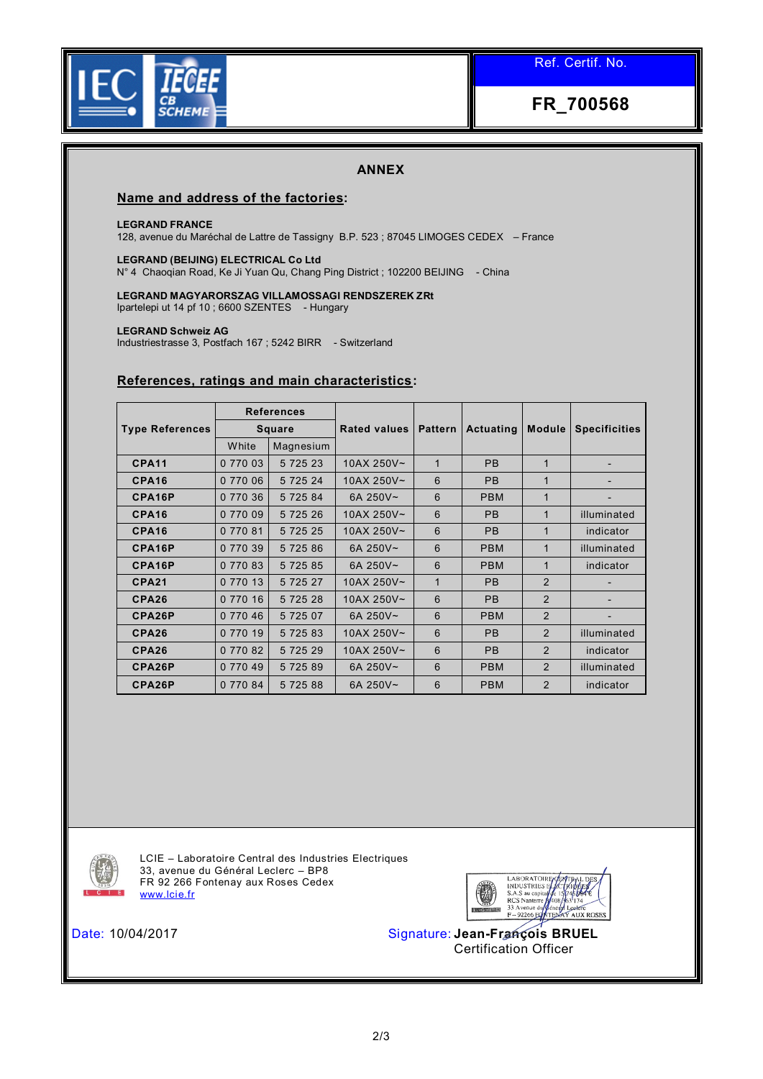



## **ANNEX**

### **Name and address of the factories:**

#### **LEGRAND FRANCE**

128, avenue du Maréchal de Lattre de Tassigny B.P. 523 ; 87045 LIMOGES CEDEX – France

#### **LEGRAND (BEIJING) ELECTRICAL Co Ltd**

N° 4 Chaoqian Road, Ke Ji Yuan Qu, Chang Ping District ; 102200 BEIJING - China

**LEGRAND MAGYARORSZAG VILLAMOSSAGI RENDSZEREK ZRt**  Ipartelepi ut 14 pf 10 ; 6600 SZENTES - Hungary

#### **LEGRAND Schweiz AG**

Industriestrasse 3, Postfach 167 ; 5242 BIRR - Switzerland

## **References, ratings and main characteristics:**

|                        | <b>References</b><br><b>Square</b> |             |              |                | Actuating  | <b>Module</b> | <b>Specificities</b> |
|------------------------|------------------------------------|-------------|--------------|----------------|------------|---------------|----------------------|
| <b>Type References</b> |                                    |             | Rated values | <b>Pattern</b> |            |               |                      |
|                        | White                              | Magnesium   |              |                |            |               |                      |
| CPA <sub>11</sub>      | 0 770 03                           | 5 7 2 5 2 3 | 10AX 250V~   | 1              | <b>PB</b>  | $\mathbf{1}$  |                      |
| CPA <sub>16</sub>      | 0 770 06                           | 5 7 2 5 2 4 | 10AX 250V~   | 6              | <b>PB</b>  | 1             |                      |
| CPA16P                 | 0 770 36                           | 5 7 2 5 8 4 | 6A 250V~     | 6              | <b>PBM</b> | $\mathbf{1}$  |                      |
| CPA <sub>16</sub>      | 0 770 09                           | 5 7 2 5 2 6 | 10AX 250V~   | 6              | <b>PB</b>  | 1             | illuminated          |
| CPA <sub>16</sub>      | 0 770 81                           | 5 7 2 5 2 5 | 10AX 250V~   | 6              | <b>PB</b>  | $\mathbf{1}$  | indicator            |
| CPA16P                 | 0 770 39                           | 5 7 2 5 8 6 | 6A 250V~     | 6              | <b>PBM</b> | $\mathbf{1}$  | illuminated          |
| CPA16P                 | 0 770 83                           | 5 7 2 5 8 5 | 6A 250V~     | 6              | <b>PBM</b> | 1             | indicator            |
| <b>CPA21</b>           | 0 770 13                           | 5 7 2 5 2 7 | 10AX 250V~   | $\mathbf 1$    | <b>PB</b>  | 2             |                      |
| CPA26                  | 0 770 16                           | 5 7 2 5 2 8 | 10AX 250V~   | 6              | <b>PB</b>  | 2             |                      |
| CPA26P                 | 0 770 46                           | 5 7 2 5 0 7 | 6A 250V~     | 6              | <b>PBM</b> | 2             |                      |
| CPA26                  | 0 770 19                           | 5 7 2 5 8 3 | 10AX 250V~   | 6              | <b>PB</b>  | 2             | illuminated          |
| CPA26                  | 0 770 82                           | 5 7 2 5 2 9 | 10AX 250V~   | 6              | <b>PB</b>  | 2             | indicator            |
| CPA26P                 | 0 770 49                           | 5 7 2 5 8 9 | 6A 250V~     | 6              | <b>PBM</b> | 2             | illuminated          |
| CPA26P                 | 0 770 84                           | 5 7 2 5 8 8 | 6A 250V~     | 6              | <b>PBM</b> | 2             | indicator            |



LCIE – Laboratoire Central des Industries Electriques 33, avenue du Général Leclerc – BP8 FR 92 266 Fontenay aux Roses Cedex [www.lcie.fr](http://www.lcie.fr/)



Date: 10/04/2017 Signature: **Jean-François BRUEL** Certification Officer